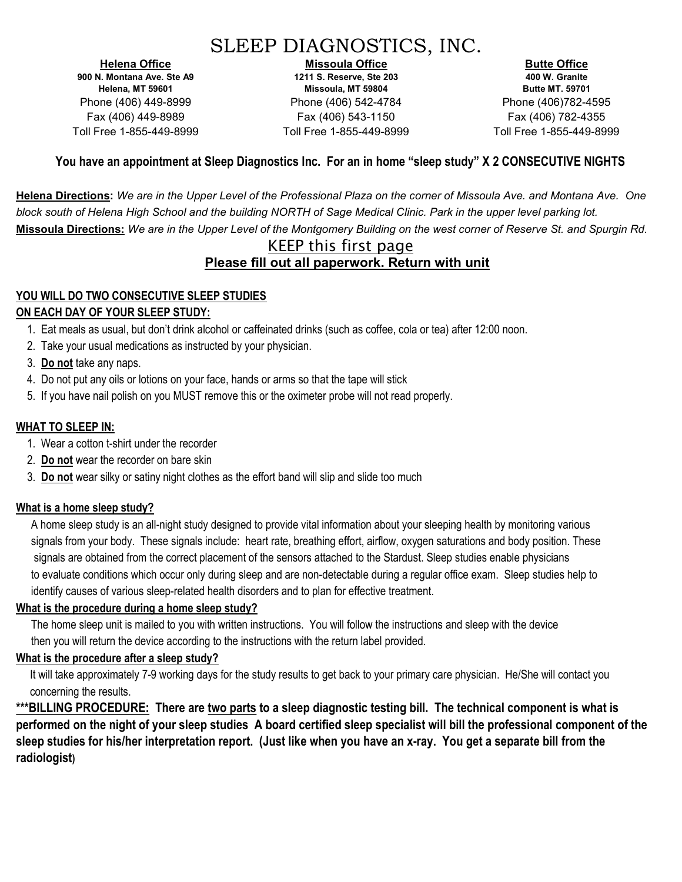# SLEEP DIAGNOSTICS, INC.

Helena Office 900 N. Montana Ave. Ste A9 Helena, MT 59601 Phone (406) 449-8999 Fax (406) 449-8989 Toll Free 1-855-449-8999

Missoula Office 1211 S. Reserve, Ste 203 Missoula, MT 59804 Phone (406) 542-4784 Fax (406) 543-1150 Toll Free 1-855-449-8999

Butte Office 400 W. Granite Butte MT. 59701 Phone (406)782-4595 Fax (406) 782-4355 Toll Free 1-855-449-8999

### You have an appointment at Sleep Diagnostics Inc. For an in home "sleep study" X 2 CONSECUTIVE NIGHTS

Helena Directions: We are in the Upper Level of the Professional Plaza on the corner of Missoula Ave. and Montana Ave. One block south of Helena High School and the building NORTH of Sage Medical Clinic. Park in the upper level parking lot. Missoula Directions: We are in the Upper Level of the Montgomery Building on the west corner of Reserve St. and Spurgin Rd.

### KEEP this first page Please fill out all paperwork. Return with unit

# YOU WILL DO TWO CONSECUTIVE SLEEP STUDIES

### ON EACH DAY OF YOUR SLEEP STUDY:

- 1. Eat meals as usual, but don't drink alcohol or caffeinated drinks (such as coffee, cola or tea) after 12:00 noon.
- 2. Take your usual medications as instructed by your physician.
- 3. Do not take any naps.
- 4. Do not put any oils or lotions on your face, hands or arms so that the tape will stick
- 5. If you have nail polish on you MUST remove this or the oximeter probe will not read properly.

### WHAT TO SLEEP IN:

- 1. Wear a cotton t-shirt under the recorder
- 2. Do not wear the recorder on bare skin
- 3. Do not wear silky or satiny night clothes as the effort band will slip and slide too much

### What is a home sleep study?

A home sleep study is an all-night study designed to provide vital information about your sleeping health by monitoring various signals from your body. These signals include: heart rate, breathing effort, airflow, oxygen saturations and body position. These signals are obtained from the correct placement of the sensors attached to the Stardust. Sleep studies enable physicians to evaluate conditions which occur only during sleep and are non-detectable during a regular office exam. Sleep studies help to identify causes of various sleep-related health disorders and to plan for effective treatment.

#### What is the procedure during a home sleep study?

The home sleep unit is mailed to you with written instructions. You will follow the instructions and sleep with the device then you will return the device according to the instructions with the return label provided.

### What is the procedure after a sleep study?

 It will take approximately 7-9 working days for the study results to get back to your primary care physician. He/She will contact you concerning the results.

\*\*\*BILLING PROCEDURE: There are two parts to a sleep diagnostic testing bill. The technical component is what is performed on the night of your sleep studies A board certified sleep specialist will bill the professional component of the sleep studies for his/her interpretation report. (Just like when you have an x-ray. You get a separate bill from the radiologist)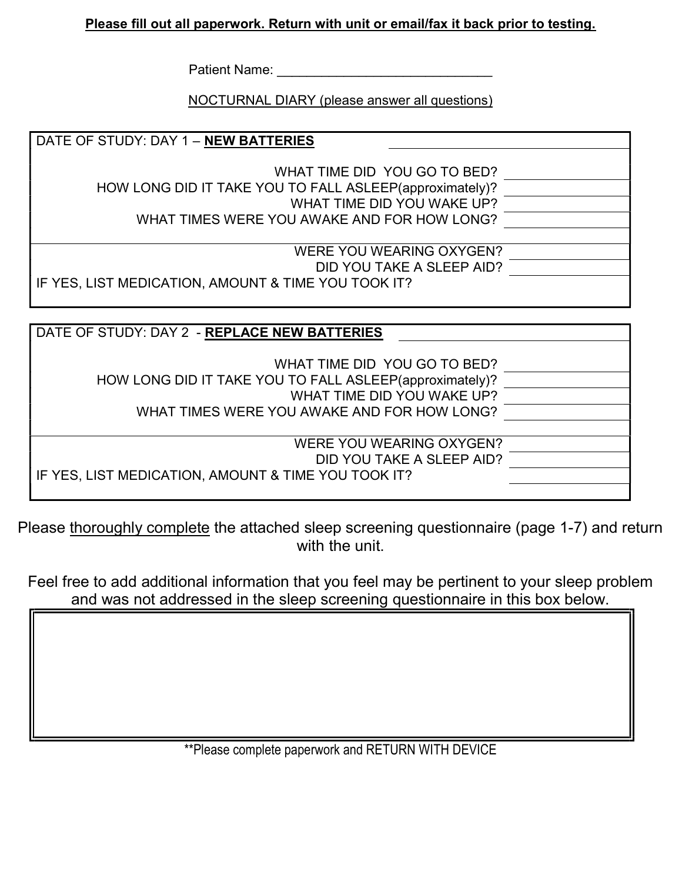## Please fill out all paperwork. Return with unit or email/fax it back prior to testing.

Patient Name: \_\_\_\_\_\_\_\_\_\_\_\_\_\_\_\_\_\_\_\_\_\_\_\_\_\_\_\_\_

NOCTURNAL DIARY (please answer all questions)

| DATE OF STUDY: DAY 1 - <b>NEW BATTERIES</b>             |  |
|---------------------------------------------------------|--|
|                                                         |  |
| WHAT TIME DID YOU GO TO BED?                            |  |
| HOW LONG DID IT TAKE YOU TO FALL ASLEEP(approximately)? |  |
| WHAT TIME DID YOU WAKE UP?                              |  |
| WHAT TIMES WERE YOU AWAKE AND FOR HOW LONG?             |  |
|                                                         |  |
| WERE YOU WEARING OXYGEN?                                |  |
| DID YOU TAKE A SLEEP AID?                               |  |
| IF YES, LIST MEDICATION, AMOUNT & TIME YOU TOOK IT?     |  |
|                                                         |  |

| DATE OF STUDY: DAY 2 - REPLACE NEW BATTERIES                                                                                                                         |  |
|----------------------------------------------------------------------------------------------------------------------------------------------------------------------|--|
| WHAT TIME DID YOU GO TO BED?<br>HOW LONG DID IT TAKE YOU TO FALL ASLEEP(approximately)?<br>WHAT TIME DID YOU WAKE UP?<br>WHAT TIMES WERE YOU AWAKE AND FOR HOW LONG? |  |
| WERE YOU WEARING OXYGEN?<br>DID YOU TAKE A SLEEP AID?<br>I IF YES, LIST MEDICATION, AMOUNT & TIME YOU TOOK IT?                                                       |  |

Please thoroughly complete the attached sleep screening questionnaire (page 1-7) and return with the unit.

Feel free to add additional information that you feel may be pertinent to your sleep problem and was not addressed in the sleep screening questionnaire in this box below.

\*\*Please complete paperwork and RETURN WITH DEVICE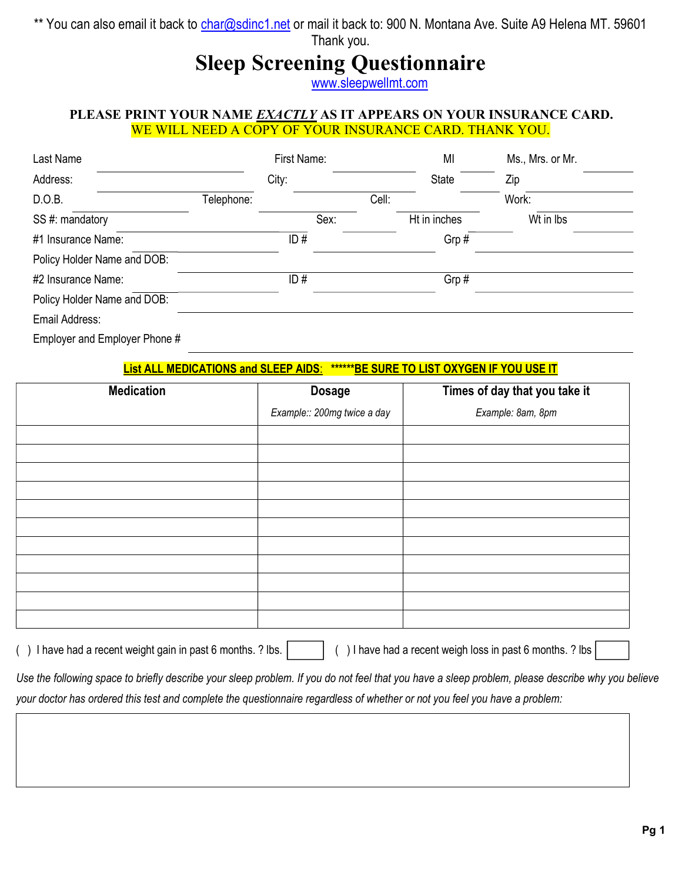\*\* You can also email it back to char@sdinc1.net or mail it back to: 900 N. Montana Ave. Suite A9 Helena MT. 59601 Thank you.

# Sleep Screening Questionnaire

www.sleepwellmt.com

#### PLEASE PRINT YOUR NAME EXACTLY AS IT APPEARS ON YOUR INSURANCE CARD. WE WILL NEED A COPY OF YOUR INSURANCE CARD. THANK YOU.

| Last Name                   |            | First Name: |       | MI           | Ms., Mrs. or Mr. |
|-----------------------------|------------|-------------|-------|--------------|------------------|
| Address:                    |            | City:       |       | State        | Zip              |
| D.O.B.                      | Telephone: |             | Cell: |              | Work:            |
| SS #: mandatory             |            | Sex:        |       | Ht in inches | Wt in Ibs        |
| #1 Insurance Name:          |            | ID#         |       | Grp#         |                  |
| Policy Holder Name and DOB: |            |             |       |              |                  |
| #2 Insurance Name:          |            | ID#         |       | Grp#         |                  |
| Policy Holder Name and DOB: |            |             |       |              |                  |
| Email Address:              |            |             |       |              |                  |
| _                           |            |             |       |              |                  |

Employer and Employer Phone #

#### List ALL MEDICATIONS and SLEEP AIDS: \*\*\*\*\*\*BE SURE TO LIST OXYGEN IF YOU USE IT

| <b>Medication</b> | <b>Dosage</b>               | Times of day that you take it |
|-------------------|-----------------------------|-------------------------------|
|                   | Example:: 200mg twice a day | Example: 8am, 8pm             |
|                   |                             |                               |
|                   |                             |                               |
|                   |                             |                               |
|                   |                             |                               |
|                   |                             |                               |
|                   |                             |                               |
|                   |                             |                               |
|                   |                             |                               |
|                   |                             |                               |
|                   |                             |                               |
|                   |                             |                               |

() I have had a recent weight gain in past 6 months. ? lbs. | | | () I have had a recent weigh loss in past 6 months. ? lbs

Use the following space to briefly describe your sleep problem. If you do not feel that you have a sleep problem, please describe why you believe your doctor has ordered this test and complete the questionnaire regardless of whether or not you feel you have a problem: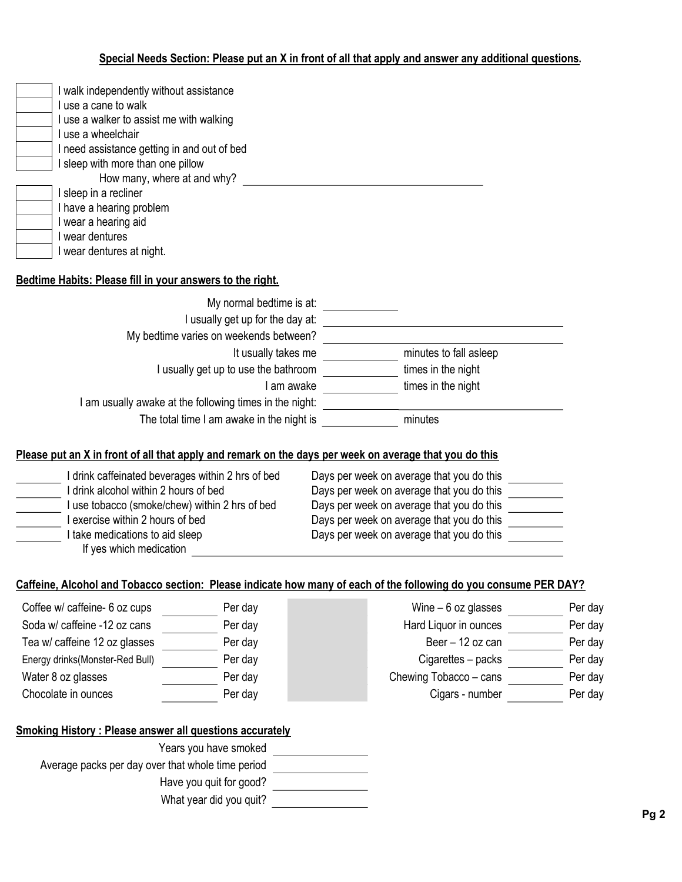## Special Needs Section: Please put an X in front of all that apply and answer any additional questions.

| I walk independently without assistance                   |
|-----------------------------------------------------------|
| I use a cane to walk                                      |
| I use a walker to assist me with walking                  |
| I use a wheelchair                                        |
| I need assistance getting in and out of bed               |
| I sleep with more than one pillow                         |
| How many, where at and why?                               |
| I sleep in a recliner                                     |
| I have a hearing problem                                  |
| I wear a hearing aid                                      |
| I wear dentures                                           |
| I wear dentures at night.                                 |
|                                                           |
| Bedtime Habits: Please fill in your answers to the right. |

| My normal bedtime is at:                                |                        |
|---------------------------------------------------------|------------------------|
| I usually get up for the day at:                        |                        |
| My bedtime varies on weekends between?                  |                        |
| It usually takes me                                     | minutes to fall asleep |
| I usually get up to use the bathroom                    | times in the night     |
| l am awake                                              | times in the night     |
| I am usually awake at the following times in the night: |                        |
| The total time I am awake in the night is               | minutes                |

#### Please put an X in front of all that apply and remark on the days per week on average that you do this

| drink caffeinated beverages within 2 hrs of bed | Days per week on average that you do this |
|-------------------------------------------------|-------------------------------------------|
| drink alcohol within 2 hours of bed             | Days per week on average that you do this |
| use tobacco (smoke/chew) within 2 hrs of bed    | Days per week on average that you do this |
| exercise within 2 hours of bed                  | Days per week on average that you do this |
| I take medications to aid sleep                 | Days per week on average that you do this |
| If yes which medication                         |                                           |

## Caffeine, Alcohol and Tobacco section: Please indicate how many of each of the following do you consume PER DAY?

| Coffee w/ caffeine- 6 oz cups   | Per day | Wine $-6$ oz glasses   | Per day |
|---------------------------------|---------|------------------------|---------|
| Soda w/ caffeine -12 oz cans    | Per day | Hard Liquor in ounces  | Per day |
| Tea w/ caffeine 12 oz glasses   | Per day | Beer - 12 oz can       | Per day |
| Energy drinks(Monster-Red Bull) | Per day | Cigarettes - packs     | Per day |
| Water 8 oz glasses              | Per day | Chewing Tobacco - cans | Per day |
| Chocolate in ounces             | Per day | Cigars - number        | Per day |

## Smoking History : Please answer all questions accurately

| Years you have smoked                             |  |
|---------------------------------------------------|--|
| Average packs per day over that whole time period |  |
| Have you guit for good?                           |  |
| What year did you quit?                           |  |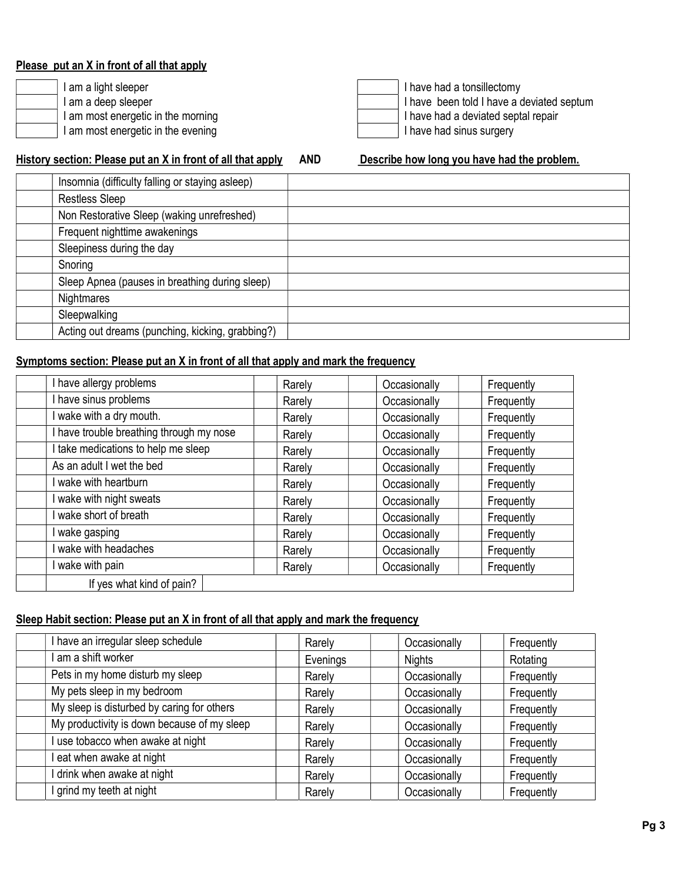#### Please put an X in front of all that apply

| I am a light sleeper               |
|------------------------------------|
| I am a deep sleeper                |
| I am most energetic in the morning |
| I am most energetic in the evening |



#### History section: Please put an X in front of all that apply AND Describe how long you have had the problem.

| Insomnia (difficulty falling or staying asleep)  |
|--------------------------------------------------|
| <b>Restless Sleep</b>                            |
| Non Restorative Sleep (waking unrefreshed)       |
| Frequent nighttime awakenings                    |
| Sleepiness during the day                        |
| Snoring                                          |
| Sleep Apnea (pauses in breathing during sleep)   |
| Nightmares                                       |
| Sleepwalking                                     |
| Acting out dreams (punching, kicking, grabbing?) |

## Symptoms section: Please put an X in front of all that apply and mark the frequency

| I have allergy problems                  | Rarely | Occasionally | Frequently |
|------------------------------------------|--------|--------------|------------|
| I have sinus problems                    | Rarely | Occasionally | Frequently |
| wake with a dry mouth.                   | Rarely | Occasionally | Frequently |
| I have trouble breathing through my nose | Rarely | Occasionally | Frequently |
| I take medications to help me sleep      | Rarely | Occasionally | Frequently |
| As an adult I wet the bed                | Rarely | Occasionally | Frequently |
| wake with heartburn                      | Rarely | Occasionally | Frequently |
| wake with night sweats                   | Rarely | Occasionally | Frequently |
| wake short of breath                     | Rarely | Occasionally | Frequently |
| wake gasping                             | Rarely | Occasionally | Frequently |
| wake with headaches                      | Rarely | Occasionally | Frequently |
| wake with pain                           | Rarely | Occasionally | Frequently |
| If yes what kind of pain?                |        |              |            |

### Sleep Habit section: Please put an X in front of all that apply and mark the frequency

| I have an irregular sleep schedule          | Rarely   | Occasionally  | Frequently |
|---------------------------------------------|----------|---------------|------------|
| I am a shift worker                         | Evenings | <b>Nights</b> | Rotating   |
| Pets in my home disturb my sleep            | Rarely   | Occasionally  | Frequently |
| My pets sleep in my bedroom                 | Rarely   | Occasionally  | Frequently |
| My sleep is disturbed by caring for others  | Rarely   | Occasionally  | Frequently |
| My productivity is down because of my sleep | Rarely   | Occasionally  | Frequently |
| I use tobacco when awake at night           | Rarely   | Occasionally  | Frequently |
| I eat when awake at night                   | Rarely   | Occasionally  | Frequently |
| I drink when awake at night                 | Rarely   | Occasionally  | Frequently |
| I grind my teeth at night                   | Rarely   | Occasionally  | Frequently |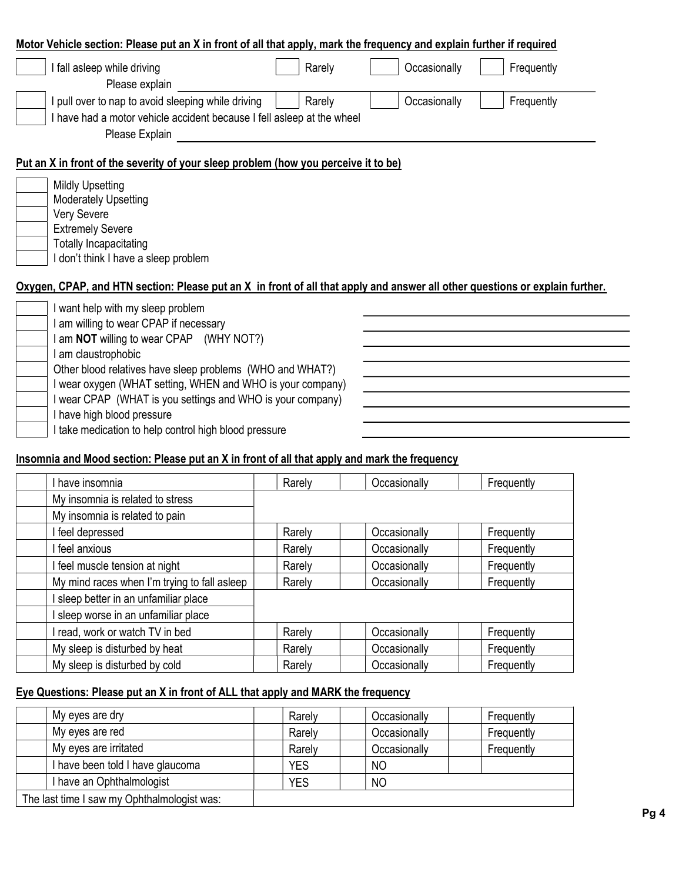|                                                                                                                              |              | Motor Vehicle section: Please put an X in front of all that apply, mark the frequency and explain further if required |
|------------------------------------------------------------------------------------------------------------------------------|--------------|-----------------------------------------------------------------------------------------------------------------------|
| Rarely<br>I fall asleep while driving                                                                                        | Occasionally | Frequently                                                                                                            |
| Please explain                                                                                                               |              |                                                                                                                       |
| I pull over to nap to avoid sleeping while driving<br>Rarely                                                                 | Occasionally | Frequently                                                                                                            |
| I have had a motor vehicle accident because I fell asleep at the wheel                                                       |              |                                                                                                                       |
| Please Explain                                                                                                               |              |                                                                                                                       |
| Put an X in front of the severity of your sleep problem (how you perceive it to be)                                          |              |                                                                                                                       |
| <b>Mildly Upsetting</b>                                                                                                      |              |                                                                                                                       |
| Moderately Upsetting                                                                                                         |              |                                                                                                                       |
| Very Severe                                                                                                                  |              |                                                                                                                       |
| <b>Extremely Severe</b>                                                                                                      |              |                                                                                                                       |
| <b>Totally Incapacitating</b>                                                                                                |              |                                                                                                                       |
| don't think I have a sleep problem                                                                                           |              |                                                                                                                       |
| Oxygen, CPAP, and HTN section: Please put an X in front of all that apply and answer all other questions or explain further. |              |                                                                                                                       |
|                                                                                                                              |              |                                                                                                                       |
|                                                                                                                              |              |                                                                                                                       |
| I want help with my sleep problem                                                                                            |              |                                                                                                                       |
| am willing to wear CPAP if necessary                                                                                         |              |                                                                                                                       |
| I am NOT willing to wear CPAP (WHY NOT?)                                                                                     |              |                                                                                                                       |
| am claustrophobic                                                                                                            |              |                                                                                                                       |
| Other blood relatives have sleep problems (WHO and WHAT?)                                                                    |              |                                                                                                                       |
| I wear oxygen (WHAT setting, WHEN and WHO is your company)                                                                   |              |                                                                                                                       |
| I wear CPAP (WHAT is you settings and WHO is your company)<br>I have high blood pressure                                     |              |                                                                                                                       |

#### Insomnia and Mood section: Please put an X in front of all that apply and mark the frequency

| I have insomnia                              | Rarely | Occasionally | Frequently |
|----------------------------------------------|--------|--------------|------------|
| My insomnia is related to stress             |        |              |            |
| My insomnia is related to pain               |        |              |            |
| I feel depressed                             | Rarely | Occasionally | Frequently |
| I feel anxious                               | Rarely | Occasionally | Frequently |
| I feel muscle tension at night               | Rarely | Occasionally | Frequently |
| My mind races when I'm trying to fall asleep | Rarely | Occasionally | Frequently |
| sleep better in an unfamiliar place          |        |              |            |
| sleep worse in an unfamiliar place           |        |              |            |
| I read, work or watch TV in bed              | Rarely | Occasionally | Frequently |
| My sleep is disturbed by heat                | Rarely | Occasionally | Frequently |
| My sleep is disturbed by cold                | Rarely | Occasionally | Frequently |

## Eye Questions: Please put an X in front of ALL that apply and MARK the frequency

| My eyes are dry                             | Rarely     | Occasionally   | Frequently |
|---------------------------------------------|------------|----------------|------------|
| My eyes are red                             | Rarely     | Occasionally   | Frequently |
| My eyes are irritated                       | Rarely     | Occasionally   | Frequently |
| have been told I have glaucoma              | <b>YES</b> | <sub>NO</sub>  |            |
| have an Ophthalmologist                     | <b>YES</b> | N <sub>O</sub> |            |
| The last time I saw my Ophthalmologist was: |            |                |            |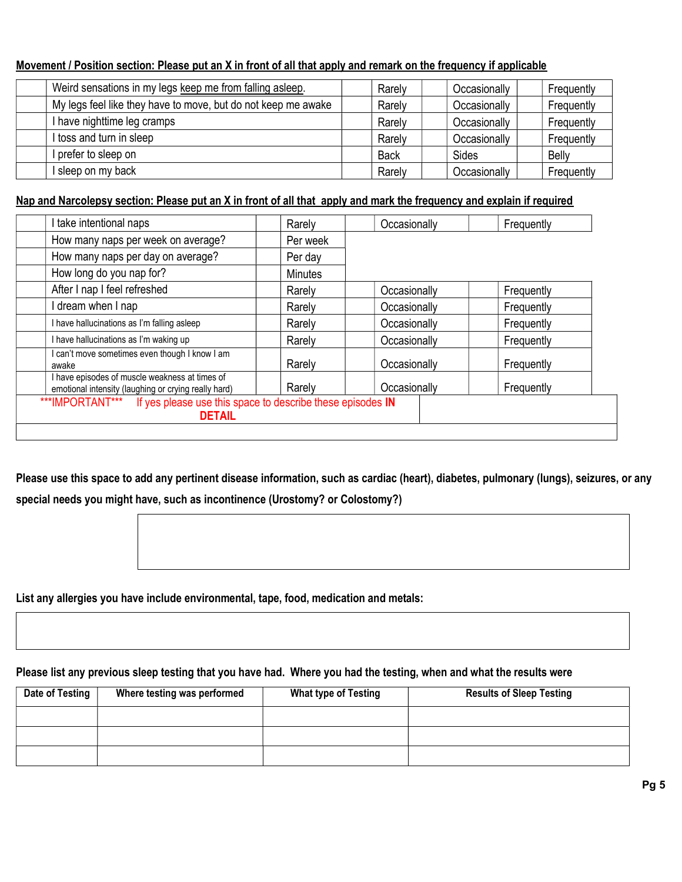#### Movement / Position section: Please put an X in front of all that apply and remark on the frequency if applicable

| Weird sensations in my legs keep me from falling asleep.      | Rarely      | Occasionally | Frequently   |
|---------------------------------------------------------------|-------------|--------------|--------------|
| My legs feel like they have to move, but do not keep me awake | Rarely      | Occasionally | Frequently   |
| I have nighttime leg cramps                                   | Rarely      | Occasionally | Frequently   |
| I toss and turn in sleep                                      | Rarely      | Occasionally | Frequently   |
| I prefer to sleep on                                          | <b>Back</b> | Sides        | <b>Belly</b> |
| I sleep on my back                                            | Rarely      | Occasionally | Frequently   |

#### Nap and Narcolepsy section: Please put an X in front of all that apply and mark the frequency and explain if required

| How many naps per week on average?<br>Per week<br>How many naps per day on average?<br>Per day<br>How long do you nap for?<br><b>Minutes</b><br>After I nap I feel refreshed<br>Occasionally<br>Frequently<br>Rarely<br>I dream when I nap<br>Occasionally<br>Frequently<br>Rarely<br>I have hallucinations as I'm falling asleep<br>Occasionally<br>Frequently<br>Rarely<br>I have hallucinations as I'm waking up<br>Occasionally<br>Rarely<br>Frequently<br>I can't move sometimes even though I know I am<br>Rarely<br>Occasionally<br>Frequently<br>awake<br>I have episodes of muscle weakness at times of | I take intentional naps                              | Rarely | Occasionally | Frequently |
|------------------------------------------------------------------------------------------------------------------------------------------------------------------------------------------------------------------------------------------------------------------------------------------------------------------------------------------------------------------------------------------------------------------------------------------------------------------------------------------------------------------------------------------------------------------------------------------------------------------|------------------------------------------------------|--------|--------------|------------|
|                                                                                                                                                                                                                                                                                                                                                                                                                                                                                                                                                                                                                  |                                                      |        |              |            |
|                                                                                                                                                                                                                                                                                                                                                                                                                                                                                                                                                                                                                  |                                                      |        |              |            |
|                                                                                                                                                                                                                                                                                                                                                                                                                                                                                                                                                                                                                  |                                                      |        |              |            |
|                                                                                                                                                                                                                                                                                                                                                                                                                                                                                                                                                                                                                  |                                                      |        |              |            |
|                                                                                                                                                                                                                                                                                                                                                                                                                                                                                                                                                                                                                  |                                                      |        |              |            |
|                                                                                                                                                                                                                                                                                                                                                                                                                                                                                                                                                                                                                  |                                                      |        |              |            |
|                                                                                                                                                                                                                                                                                                                                                                                                                                                                                                                                                                                                                  |                                                      |        |              |            |
|                                                                                                                                                                                                                                                                                                                                                                                                                                                                                                                                                                                                                  |                                                      |        |              |            |
|                                                                                                                                                                                                                                                                                                                                                                                                                                                                                                                                                                                                                  | emotional intensity (laughing or crying really hard) | Rarely | Occasionally | Frequently |

Please use this space to add any pertinent disease information, such as cardiac (heart), diabetes, pulmonary (lungs), seizures, or any special needs you might have, such as incontinence (Urostomy? or Colostomy?)

List any allergies you have include environmental, tape, food, medication and metals:

#### Please list any previous sleep testing that you have had. Where you had the testing, when and what the results were

| Date of Testing | Where testing was performed | <b>What type of Testing</b> | <b>Results of Sleep Testing</b> |
|-----------------|-----------------------------|-----------------------------|---------------------------------|
|                 |                             |                             |                                 |
|                 |                             |                             |                                 |
|                 |                             |                             |                                 |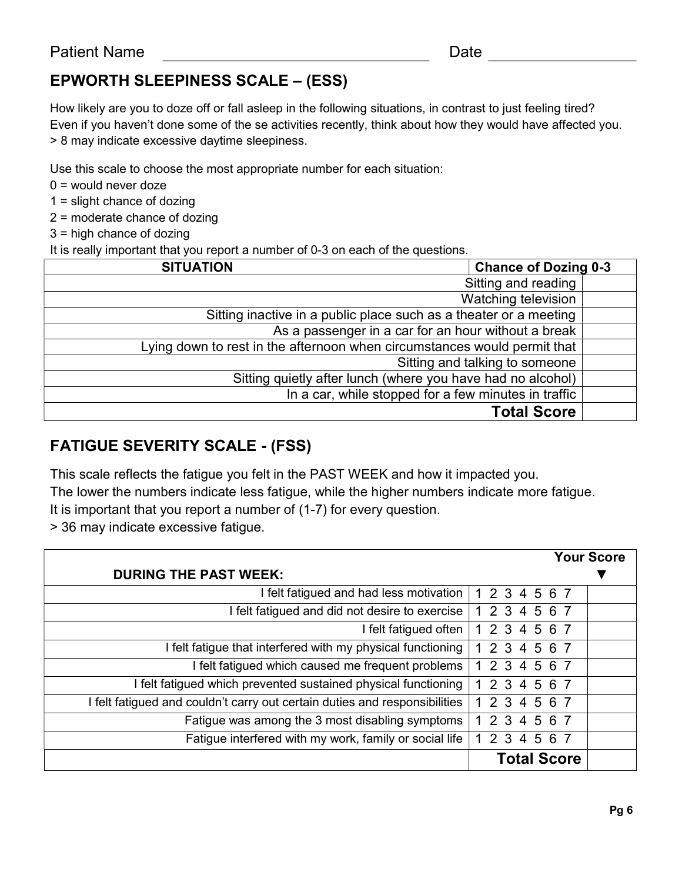# EPWORTH SLEEPINESS SCALE – (ESS)

How likely are you to doze off or fall asleep in the following situations, in contrast to just feeling tired? Even if you haven't done some of the se activities recently, think about how they would have affected you. > 8 may indicate excessive daytime sleepiness.

Use this scale to choose the most appropriate number for each situation:

 $0 =$  would never doze

1 = slight chance of dozing

2 = moderate chance of dozing

3 = high chance of dozing

It is really important that you report a number of 0-3 on each of the questions.

| <b>Chance of Dozing 0-3</b><br><b>SITUATION</b>                          |  |  |  |  |  |
|--------------------------------------------------------------------------|--|--|--|--|--|
| Sitting and reading                                                      |  |  |  |  |  |
| Watching television                                                      |  |  |  |  |  |
| Sitting inactive in a public place such as a theater or a meeting        |  |  |  |  |  |
| As a passenger in a car for an hour without a break                      |  |  |  |  |  |
| Lying down to rest in the afternoon when circumstances would permit that |  |  |  |  |  |
| Sitting and talking to someone                                           |  |  |  |  |  |
| Sitting quietly after lunch (where you have had no alcohol)              |  |  |  |  |  |
| In a car, while stopped for a few minutes in traffic                     |  |  |  |  |  |
| <b>Total Score</b>                                                       |  |  |  |  |  |

# FATIGUE SEVERITY SCALE - (FSS)

This scale reflects the fatigue you felt in the PAST WEEK and how it impacted you.

The lower the numbers indicate less fatigue, while the higher numbers indicate more fatigue.

It is important that you report a number of (1-7) for every question.

> 36 may indicate excessive fatigue.

|                                                                            |     |               |     |                    | <b>Your Score</b> |
|----------------------------------------------------------------------------|-----|---------------|-----|--------------------|-------------------|
| <b>DURING THE PAST WEEK:</b>                                               |     |               |     |                    |                   |
| I felt fatigued and had less motivation                                    |     | 1 2 3 4 5 6 7 |     |                    |                   |
| I felt fatigued and did not desire to exercise                             |     | 1 2 3 4 5 6 7 |     |                    |                   |
| I felt fatigued often                                                      |     | 1 2 3 4 5 6 7 |     |                    |                   |
| I felt fatigue that interfered with my physical functioning                |     | 1 2 3 4 5 6 7 |     |                    |                   |
| I felt fatigued which caused me frequent problems                          |     | 2 3 4 5 6 7   |     |                    |                   |
| I felt fatigued which prevented sustained physical functioning             |     | 1 2 3 4 5 6 7 |     |                    |                   |
| I felt fatigued and couldn't carry out certain duties and responsibilities |     | 1 2 3 4 5 6 7 |     |                    |                   |
| Fatigue was among the 3 most disabling symptoms                            |     | 2 3 4 5 6 7   |     |                    |                   |
| Fatigue interfered with my work, family or social life                     | 2 3 | 4             | 567 |                    |                   |
|                                                                            |     |               |     | <b>Total Score</b> |                   |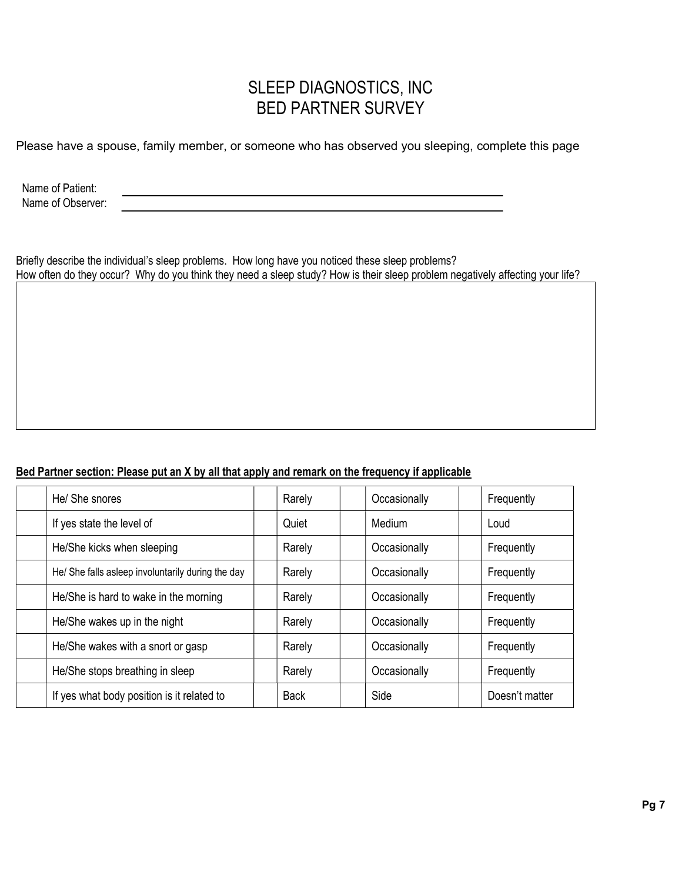# SLEEP DIAGNOSTICS, INC BED PARTNER SURVEY

Please have a spouse, family member, or someone who has observed you sleeping, complete this page

Name of Patient: Name of Observer:

Briefly describe the individual's sleep problems. How long have you noticed these sleep problems? How often do they occur? Why do you think they need a sleep study? How is their sleep problem negatively affecting your life?

#### Bed Partner section: Please put an X by all that apply and remark on the frequency if applicable

| He/ She snores                                    | Rarely      | Occasionally | Frequently     |
|---------------------------------------------------|-------------|--------------|----------------|
| If yes state the level of                         | Quiet       | Medium       | Loud           |
| He/She kicks when sleeping                        | Rarely      | Occasionally | Frequently     |
| He/ She falls asleep involuntarily during the day | Rarely      | Occasionally | Frequently     |
| He/She is hard to wake in the morning             | Rarely      | Occasionally | Frequently     |
| He/She wakes up in the night                      | Rarely      | Occasionally | Frequently     |
| He/She wakes with a snort or gasp                 | Rarely      | Occasionally | Frequently     |
| He/She stops breathing in sleep                   | Rarely      | Occasionally | Frequently     |
| If yes what body position is it related to        | <b>Back</b> | Side         | Doesn't matter |